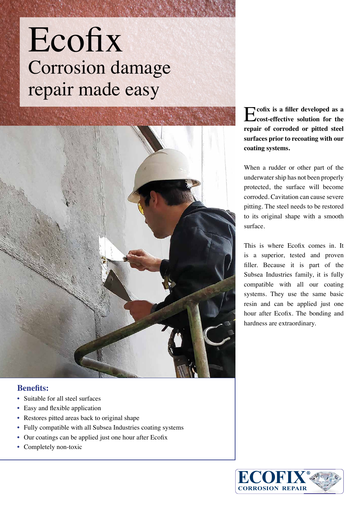## Ecofix Corrosion damage repair made easy



## **Benefits:**

- Suitable for all steel surfaces
- Easy and flexible application
- Restores pitted areas back to original shape
- Fully compatible with all Subsea Industries coating systems
- Our coatings can be applied just one hour after Ecofix
- Completely non-toxic

E**cofix is a filler developed as a cost-effective solution for the repair of corroded or pitted steel surfaces prior to recoating with our coating systems.**

When a rudder or other part of the underwater ship has not been properly protected, the surface will become corroded. Cavitation can cause severe pitting. The steel needs to be restored to its original shape with a smooth surface.

This is where Ecofix comes in. It is a superior, tested and proven filler. Because it is part of the Subsea Industries family, it is fully compatible with all our coating systems. They use the same basic resin and can be applied just one hour after Ecofix. The bonding and hardness are extraordinary.